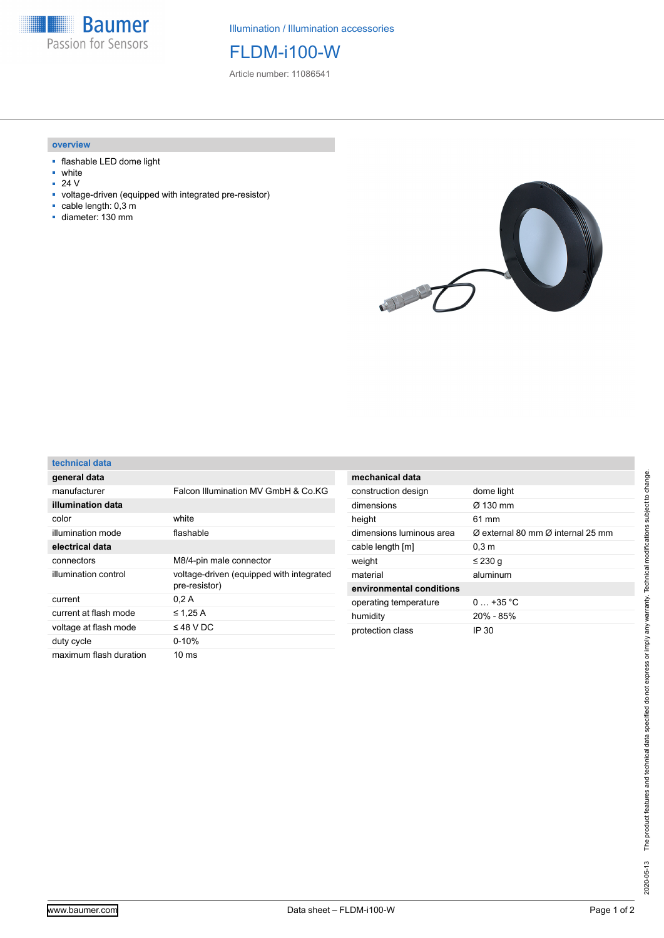

Illumination / Illumination accessories

FLDM-i100-W

Article number: 11086541

## **overview**

- flashable LED dome light
- white
- 24 V
- voltage-driven (equipped with integrated pre-resistor)
- cable length: 0,3 m
- diameter: 130 mm



| technical data |  |  |
|----------------|--|--|
|                |  |  |

| general data          |                                                           |  |
|-----------------------|-----------------------------------------------------------|--|
| manufacturer          | Falcon Illumination MV GmbH & Co.KG                       |  |
| illumination data     |                                                           |  |
| color                 | white                                                     |  |
| illumination mode     | flashable                                                 |  |
| electrical data       |                                                           |  |
| connectors            | M8/4-pin male connector                                   |  |
|                       |                                                           |  |
| illumination control  | voltage-driven (equipped with integrated<br>pre-resistor) |  |
| current               | 0.2A                                                      |  |
| current at flash mode | $\leq$ 1.25 A                                             |  |
| voltage at flash mode | $\leq$ 48 V DC                                            |  |
| duty cycle            | $0 - 10%$                                                 |  |

| mechanical data          |                                                           |  |  |  |
|--------------------------|-----------------------------------------------------------|--|--|--|
| construction design      | dome light                                                |  |  |  |
| dimensions               | Ø 130 mm                                                  |  |  |  |
| height                   | 61 mm                                                     |  |  |  |
| dimensions luminous area | $\varnothing$ external 80 mm $\varnothing$ internal 25 mm |  |  |  |
| cable length [m]         | 0.3 <sub>m</sub>                                          |  |  |  |
| weight                   | ≤ 230 g                                                   |  |  |  |
| material                 | aluminum                                                  |  |  |  |
| environmental conditions |                                                           |  |  |  |
| operating temperature    | $0 + 35 °C$                                               |  |  |  |
| humidity                 | $20\% - 85\%$                                             |  |  |  |
| protection class         | IP 30                                                     |  |  |  |